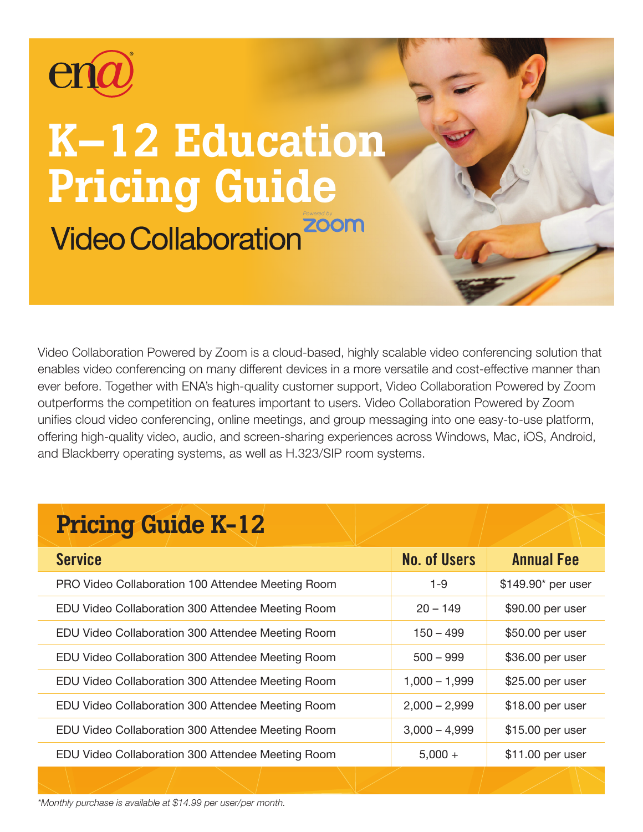

# K–12 Education Pricing Guide**Video Collaboration Zoom**

Video Collaboration Powered by Zoom is a cloud-based, highly scalable video conferencing solution that enables video conferencing on many different devices in a more versatile and cost-effective manner than ever before. Together with ENA's high-quality customer support, Video Collaboration Powered by Zoom outperforms the competition on features important to users. Video Collaboration Powered by Zoom unifies cloud video conferencing, online meetings, and group messaging into one easy-to-use platform, offering high-quality video, audio, and screen-sharing experiences across Windows, Mac, iOS, Android, and Blackberry operating systems, as well as H.323/SIP room systems.

## Pricing Guide K-12

| <b>Service</b>                                    | <b>No. of Users</b> | <b>Annual Fee</b>  |
|---------------------------------------------------|---------------------|--------------------|
| PRO Video Collaboration 100 Attendee Meeting Room | $1 - 9$             | \$149.90* per user |
| EDU Video Collaboration 300 Attendee Meeting Room | $20 - 149$          | \$90.00 per user   |
| EDU Video Collaboration 300 Attendee Meeting Room | $150 - 499$         | \$50.00 per user   |
| EDU Video Collaboration 300 Attendee Meeting Room | $500 - 999$         | \$36.00 per user   |
| EDU Video Collaboration 300 Attendee Meeting Room | $1,000 - 1,999$     | \$25.00 per user   |
| EDU Video Collaboration 300 Attendee Meeting Room | $2,000 - 2,999$     | \$18.00 per user   |
| EDU Video Collaboration 300 Attendee Meeting Room | $3,000 - 4,999$     | \$15.00 per user   |
| EDU Video Collaboration 300 Attendee Meeting Room | $5,000 +$           | \$11.00 per user   |

*\*Monthly purchase is available at \$14.99 per user/per month.*